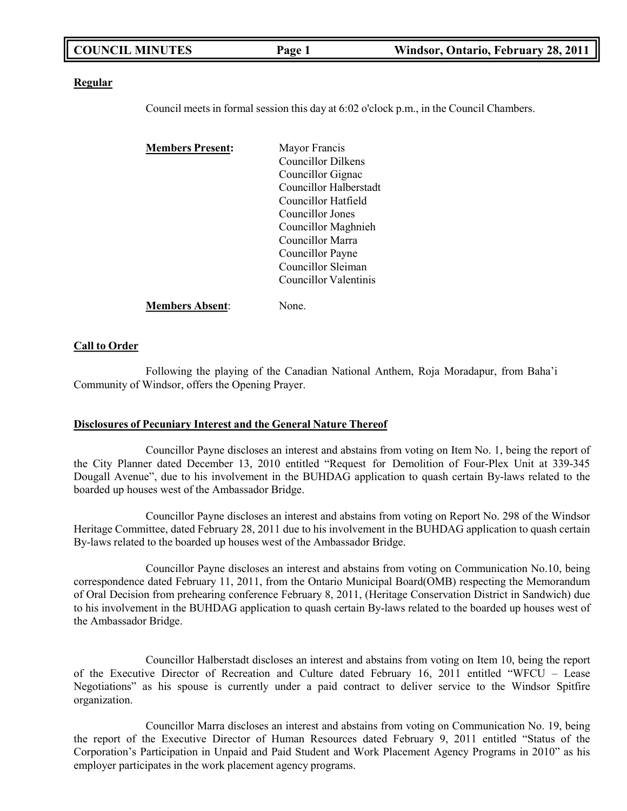|  | <b>COUNCIL MINUTES</b> | Page 1 | Windsor, Ontario, February 28, 2011 |
|--|------------------------|--------|-------------------------------------|
|--|------------------------|--------|-------------------------------------|

#### **Regular**

Council meets in formal session this day at 6:02 o'clock p.m., in the Council Chambers.

| <b>Members Present:</b> | Mayor Francis          |  |
|-------------------------|------------------------|--|
|                         | Councillor Dilkens     |  |
|                         | Councillor Gignac      |  |
|                         | Councillor Halberstadt |  |
|                         | Councillor Hatfield    |  |
|                         | Councillor Jones       |  |
|                         | Councillor Maghnieh    |  |
|                         | Councillor Marra       |  |
|                         | Councillor Payne       |  |
|                         | Councillor Sleiman     |  |
|                         | Councillor Valentinis  |  |
| <b>Members Absent:</b>  | None.                  |  |

### **Call to Order**

Following the playing of the Canadian National Anthem, Roja Moradapur, from Baha'i Community of Windsor, offers the Opening Prayer.

### **Disclosures of Pecuniary Interest and the General Nature Thereof**

Councillor Payne discloses an interest and abstains from voting on Item No. 1, being the report of the City Planner dated December 13, 2010 entitled "Request for Demolition of Four-Plex Unit at 339-345 Dougall Avenue", due to his involvement in the BUHDAG application to quash certain By-laws related to the boarded up houses west of the Ambassador Bridge.

Councillor Payne discloses an interest and abstains from voting on Report No. 298 of the Windsor Heritage Committee, dated February 28, 2011 due to his involvement in the BUHDAG application to quash certain By-laws related to the boarded up houses west of the Ambassador Bridge.

Councillor Payne discloses an interest and abstains from voting on Communication No.10, being correspondence dated February 11, 2011, from the Ontario Municipal Board(OMB) respecting the Memorandum of Oral Decision from prehearing conference February 8, 2011, (Heritage Conservation District in Sandwich) due to his involvement in the BUHDAG application to quash certain By-laws related to the boarded up houses west of the Ambassador Bridge.

Councillor Halberstadt discloses an interest and abstains from voting on Item 10, being the report of the Executive Director of Recreation and Culture dated February 16, 2011 entitled "WFCU – Lease Negotiations" as his spouse is currently under a paid contract to deliver service to the Windsor Spitfire organization.

Councillor Marra discloses an interest and abstains from voting on Communication No. 19, being the report of the Executive Director of Human Resources dated February 9, 2011 entitled "Status of the Corporation's Participation in Unpaid and Paid Student and Work Placement Agency Programs in 2010" as his employer participates in the work placement agency programs.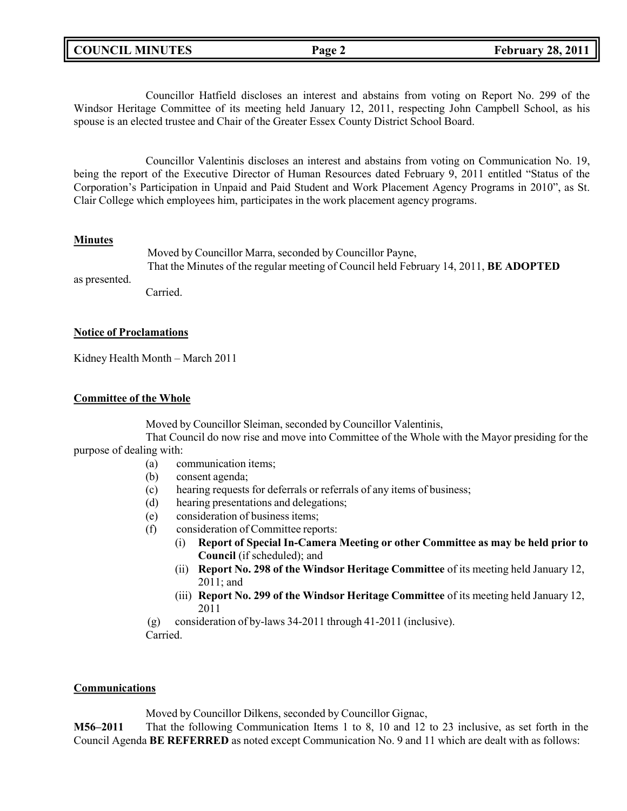|  | <b>COUNCIL MINUTES</b> |
|--|------------------------|
|--|------------------------|

Councillor Hatfield discloses an interest and abstains from voting on Report No. 299 of the Windsor Heritage Committee of its meeting held January 12, 2011, respecting John Campbell School, as his spouse is an elected trustee and Chair of the Greater Essex County District School Board.

Councillor Valentinis discloses an interest and abstains from voting on Communication No. 19, being the report of the Executive Director of Human Resources dated February 9, 2011 entitled "Status of the Corporation's Participation in Unpaid and Paid Student and Work Placement Agency Programs in 2010", as St. Clair College which employees him, participates in the work placement agency programs.

# **Minutes**

as presented.

Moved by Councillor Marra, seconded by Councillor Payne,

That the Minutes of the regular meeting of Council held February 14, 2011, **BE ADOPTED**

Carried.

# **Notice of Proclamations**

Kidney Health Month – March 2011

# **Committee of the Whole**

Moved by Councillor Sleiman, seconded by Councillor Valentinis,

That Council do now rise and move into Committee of the Whole with the Mayor presiding for the purpose of dealing with:

- (a) communication items;
- (b) consent agenda;
- (c) hearing requests for deferrals or referrals of any items of business;
- (d) hearing presentations and delegations;
- (e) consideration of business items;
- (f) consideration of Committee reports:
	- (i) **Report of Special In-Camera Meeting or other Committee as may be held prior to Council** (if scheduled); and
	- (ii) **Report No. 298 of the Windsor Heritage Committee** of its meeting held January 12, 2011; and
	- (iii) **Report No. 299 of the Windsor Heritage Committee** of its meeting held January 12, 2011

(g) consideration of by-laws 34-2011 through 41-2011 (inclusive). Carried.

# **Communications**

Moved by Councillor Dilkens, seconded by Councillor Gignac,

**M56–2011** That the following Communication Items 1 to 8, 10 and 12 to 23 inclusive, as set forth in the Council Agenda **BE REFERRED** as noted except Communication No. 9 and 11 which are dealt with as follows: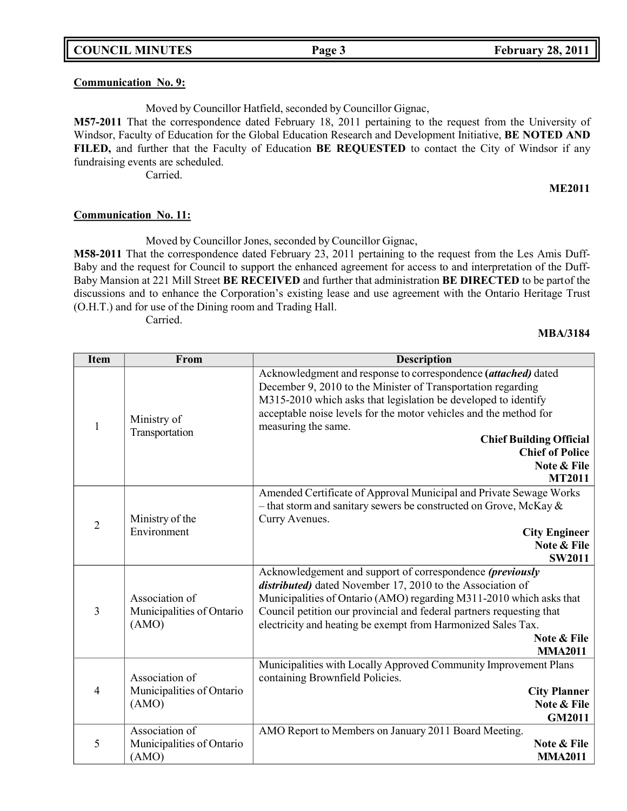# **Communication No. 9:**

Moved by Councillor Hatfield, seconded by Councillor Gignac,

**M57-2011** That the correspondence dated February 18, 2011 pertaining to the request from the University of Windsor, Faculty of Education for the Global Education Research and Development Initiative, **BE NOTED AND FILED,** and further that the Faculty of Education **BE REQUESTED** to contact the City of Windsor if any fundraising events are scheduled.

Carried.

## **ME2011**

### **Communication No. 11:**

Moved by Councillor Jones, seconded by Councillor Gignac,

**M58-2011** That the correspondence dated February 23, 2011 pertaining to the request from the Les Amis Duff-Baby and the request for Council to support the enhanced agreement for access to and interpretation of the Duff-Baby Mansion at 221 Mill Street **BE RECEIVED** and further that administration **BE DIRECTED** to be partof the discussions and to enhance the Corporation's existing lease and use agreement with the Ontario Heritage Trust (O.H.T.) and for use of the Dining room and Trading Hall.

Carried.

### **MBA/3184**

| <b>Item</b>    | From                                                 | <b>Description</b>                                                   |
|----------------|------------------------------------------------------|----------------------------------------------------------------------|
|                |                                                      | Acknowledgment and response to correspondence (attached) dated       |
|                |                                                      | December 9, 2010 to the Minister of Transportation regarding         |
|                |                                                      | M315-2010 which asks that legislation be developed to identify       |
|                | Ministry of                                          | acceptable noise levels for the motor vehicles and the method for    |
| 1              | Transportation                                       | measuring the same.                                                  |
|                |                                                      | <b>Chief Building Official</b><br><b>Chief of Police</b>             |
|                |                                                      | Note & File                                                          |
|                |                                                      | <b>MT2011</b>                                                        |
|                |                                                      | Amended Certificate of Approval Municipal and Private Sewage Works   |
|                |                                                      | - that storm and sanitary sewers be constructed on Grove, McKay $\&$ |
|                | Ministry of the                                      | Curry Avenues.                                                       |
| $\overline{2}$ | Environment                                          | <b>City Engineer</b>                                                 |
|                |                                                      | Note & File                                                          |
|                |                                                      | <b>SW2011</b>                                                        |
|                |                                                      | Acknowledgement and support of correspondence (previously            |
|                |                                                      | distributed) dated November 17, 2010 to the Association of           |
|                | Association of<br>Municipalities of Ontario<br>(AMO) | Municipalities of Ontario (AMO) regarding M311-2010 which asks that  |
| 3              |                                                      | Council petition our provincial and federal partners requesting that |
|                |                                                      | electricity and heating be exempt from Harmonized Sales Tax.         |
|                |                                                      | Note & File                                                          |
|                |                                                      | <b>MMA2011</b>                                                       |
|                |                                                      | Municipalities with Locally Approved Community Improvement Plans     |
|                | Association of                                       | containing Brownfield Policies.                                      |
| 4              | Municipalities of Ontario                            | <b>City Planner</b>                                                  |
|                | (AMO)                                                | Note & File                                                          |
|                |                                                      | <b>GM2011</b>                                                        |
|                | Association of                                       | AMO Report to Members on January 2011 Board Meeting.                 |
| 5              | Municipalities of Ontario                            | Note & File                                                          |
|                | (AMO)                                                | <b>MMA2011</b>                                                       |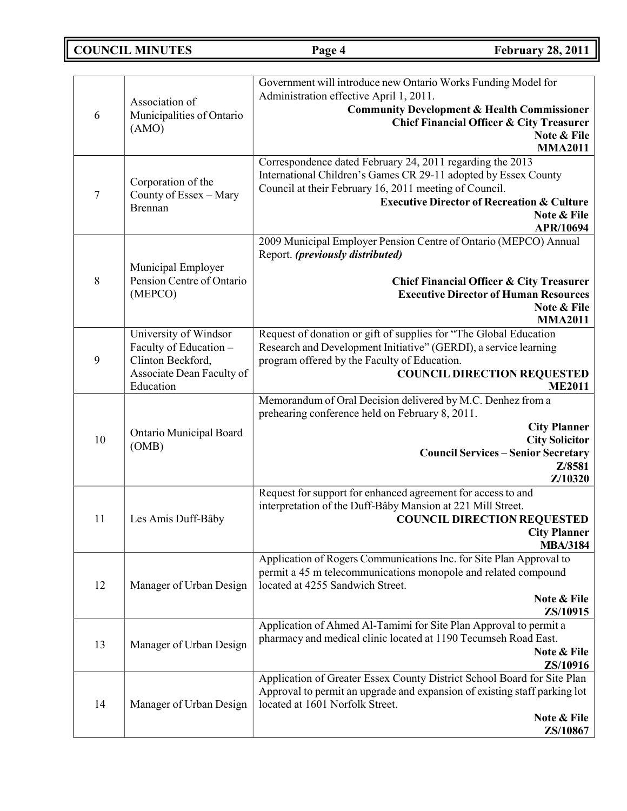**COUNCIL MINUTES Page 4 February 28, 2011**

| 6              | Association of<br>Municipalities of Ontario<br>(AMO)           | Government will introduce new Ontario Works Funding Model for<br>Administration effective April 1, 2011.<br><b>Community Development &amp; Health Commissioner</b><br><b>Chief Financial Officer &amp; City Treasurer</b><br>Note & File                                    |
|----------------|----------------------------------------------------------------|-----------------------------------------------------------------------------------------------------------------------------------------------------------------------------------------------------------------------------------------------------------------------------|
|                |                                                                | <b>MMA2011</b>                                                                                                                                                                                                                                                              |
| $\overline{7}$ | Corporation of the<br>County of Essex - Mary<br><b>Brennan</b> | Correspondence dated February 24, 2011 regarding the 2013<br>International Children's Games CR 29-11 adopted by Essex County<br>Council at their February 16, 2011 meeting of Council.<br><b>Executive Director of Recreation &amp; Culture</b><br>Note & File<br>APR/10694 |
|                | Municipal Employer                                             | 2009 Municipal Employer Pension Centre of Ontario (MEPCO) Annual<br>Report. (previously distributed)                                                                                                                                                                        |
| 8              | Pension Centre of Ontario                                      | <b>Chief Financial Officer &amp; City Treasurer</b>                                                                                                                                                                                                                         |
|                | (MEPCO)                                                        | <b>Executive Director of Human Resources</b>                                                                                                                                                                                                                                |
|                |                                                                | Note & File                                                                                                                                                                                                                                                                 |
|                |                                                                | <b>MMA2011</b>                                                                                                                                                                                                                                                              |
|                | University of Windsor                                          | Request of donation or gift of supplies for "The Global Education                                                                                                                                                                                                           |
|                | Faculty of Education -                                         | Research and Development Initiative" (GERDI), a service learning                                                                                                                                                                                                            |
| 9              | Clinton Beckford,<br>Associate Dean Faculty of<br>Education    | program offered by the Faculty of Education.                                                                                                                                                                                                                                |
|                |                                                                | <b>COUNCIL DIRECTION REQUESTED</b><br><b>ME2011</b>                                                                                                                                                                                                                         |
|                |                                                                | Memorandum of Oral Decision delivered by M.C. Denhez from a                                                                                                                                                                                                                 |
| 10             | Ontario Municipal Board<br>(OMB)                               | prehearing conference held on February 8, 2011.<br><b>City Planner</b><br><b>City Solicitor</b><br><b>Council Services - Senior Secretary</b><br>Z/8581<br>Z/10320                                                                                                          |
|                |                                                                | Request for support for enhanced agreement for access to and                                                                                                                                                                                                                |
|                |                                                                | interpretation of the Duff-Bâby Mansion at 221 Mill Street.                                                                                                                                                                                                                 |
| 11             | Les Amis Duff-Bâby                                             | <b>COUNCIL DIRECTION REQUESTED</b>                                                                                                                                                                                                                                          |
|                |                                                                | <b>City Planner</b>                                                                                                                                                                                                                                                         |
|                |                                                                | <b>MBA/3184</b><br>Application of Rogers Communications Inc. for Site Plan Approval to                                                                                                                                                                                      |
| 12             | Manager of Urban Design                                        | permit a 45 m telecommunications monopole and related compound<br>located at 4255 Sandwich Street.                                                                                                                                                                          |
|                |                                                                | Note & File                                                                                                                                                                                                                                                                 |
|                |                                                                | ZS/10915                                                                                                                                                                                                                                                                    |
|                |                                                                | Application of Ahmed Al-Tamimi for Site Plan Approval to permit a                                                                                                                                                                                                           |
| 13             | Manager of Urban Design                                        | pharmacy and medical clinic located at 1190 Tecumseh Road East.<br>Note & File                                                                                                                                                                                              |
|                |                                                                | ZS/10916                                                                                                                                                                                                                                                                    |
|                |                                                                | Application of Greater Essex County District School Board for Site Plan                                                                                                                                                                                                     |
|                |                                                                | Approval to permit an upgrade and expansion of existing staff parking lot                                                                                                                                                                                                   |
| 14             | Manager of Urban Design                                        | located at 1601 Norfolk Street.                                                                                                                                                                                                                                             |
|                |                                                                | Note & File                                                                                                                                                                                                                                                                 |
|                |                                                                | ZS/10867                                                                                                                                                                                                                                                                    |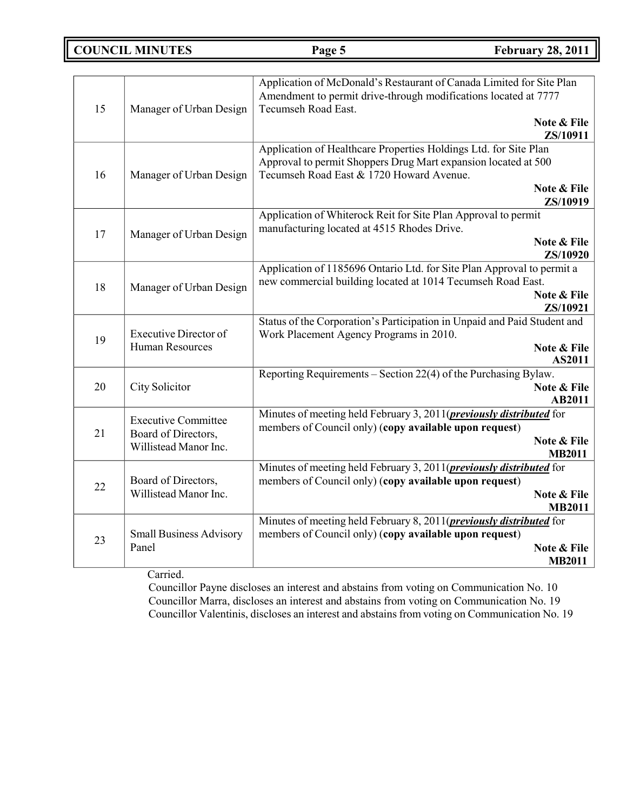**COUNCIL MINUTES Page 5 February 28, 2011**

| 15 | Manager of Urban Design                                | Application of McDonald's Restaurant of Canada Limited for Site Plan<br>Amendment to permit drive-through modifications located at 7777<br>Tecumseh Road East.                                |
|----|--------------------------------------------------------|-----------------------------------------------------------------------------------------------------------------------------------------------------------------------------------------------|
|    |                                                        | Note & File<br>ZS/10911                                                                                                                                                                       |
| 16 | Manager of Urban Design                                | Application of Healthcare Properties Holdings Ltd. for Site Plan<br>Approval to permit Shoppers Drug Mart expansion located at 500<br>Tecumseh Road East & 1720 Howard Avenue.<br>Note & File |
|    |                                                        | ZS/10919                                                                                                                                                                                      |
| 17 | Manager of Urban Design                                | Application of Whiterock Reit for Site Plan Approval to permit<br>manufacturing located at 4515 Rhodes Drive.                                                                                 |
|    |                                                        | Note & File<br>ZS/10920                                                                                                                                                                       |
|    |                                                        | Application of 1185696 Ontario Ltd. for Site Plan Approval to permit a                                                                                                                        |
| 18 | Manager of Urban Design                                | new commercial building located at 1014 Tecumseh Road East.<br>Note & File                                                                                                                    |
|    |                                                        | ZS/10921                                                                                                                                                                                      |
|    |                                                        | Status of the Corporation's Participation in Unpaid and Paid Student and                                                                                                                      |
| 19 | <b>Executive Director of</b><br><b>Human Resources</b> | Work Placement Agency Programs in 2010.<br>Note & File                                                                                                                                        |
|    |                                                        | AS2011                                                                                                                                                                                        |
|    |                                                        | Reporting Requirements - Section 22(4) of the Purchasing Bylaw.                                                                                                                               |
| 20 | City Solicitor                                         | Note & File<br>AB2011                                                                                                                                                                         |
|    | <b>Executive Committee</b>                             | Minutes of meeting held February 3, 2011( <i>previously distributed</i> for                                                                                                                   |
| 21 | Board of Directors,                                    | members of Council only) (copy available upon request)<br>Note & File                                                                                                                         |
|    | Willistead Manor Inc.                                  | <b>MB2011</b>                                                                                                                                                                                 |
|    |                                                        | Minutes of meeting held February 3, 2011( <i>previously distributed</i> for                                                                                                                   |
| 22 | Board of Directors,<br>Willistead Manor Inc.           | members of Council only) (copy available upon request)<br>Note & File                                                                                                                         |
|    |                                                        | <b>MB2011</b>                                                                                                                                                                                 |
|    |                                                        | Minutes of meeting held February 8, 2011( <i>previously distributed</i> for                                                                                                                   |
| 23 | <b>Small Business Advisory</b><br>Panel                | members of Council only) (copy available upon request)                                                                                                                                        |
|    |                                                        | Note & File                                                                                                                                                                                   |
|    |                                                        | <b>MB2011</b>                                                                                                                                                                                 |

Carried.

Councillor Payne discloses an interest and abstains from voting on Communication No. 10 Councillor Marra, discloses an interest and abstains from voting on Communication No. 19 Councillor Valentinis, discloses an interest and abstains from voting on Communication No. 19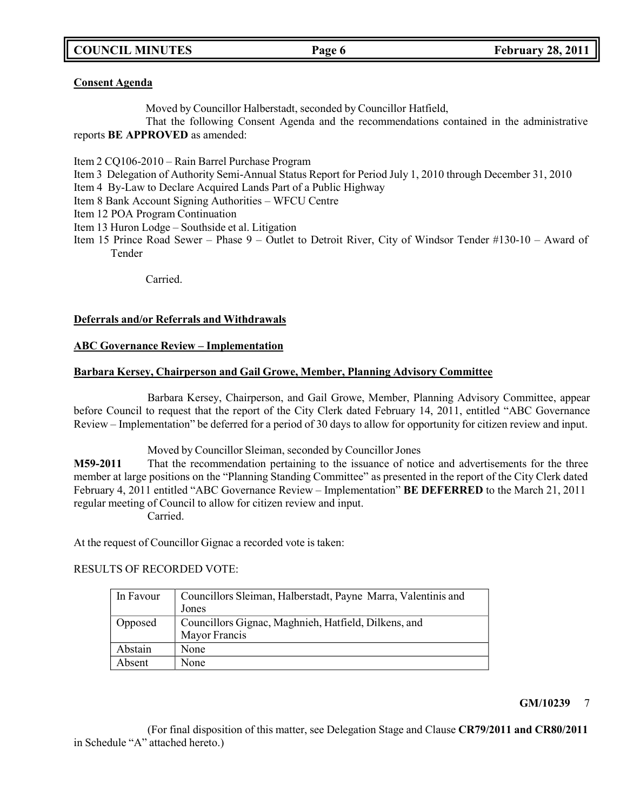**COUNCIL MINUTES Page 6 February 28, 2011**

# **Consent Agenda**

Moved by Councillor Halberstadt, seconded by Councillor Hatfield,

That the following Consent Agenda and the recommendations contained in the administrative reports **BE APPROVED** as amended:

Item 2 CQ106-2010 – Rain Barrel Purchase Program

Item 3 Delegation of Authority Semi-Annual Status Report for Period July 1, 2010 through December 31, 2010

Item 4 By-Law to Declare Acquired Lands Part of a Public Highway

Item 8 Bank Account Signing Authorities – WFCU Centre

Item 12 POA Program Continuation

Item 13 Huron Lodge – Southside et al. Litigation

Item 15 Prince Road Sewer – Phase 9 – Outlet to Detroit River, City of Windsor Tender #130-10 – Award of Tender

Carried.

# **Deferrals and/or Referrals and Withdrawals**

# **ABC Governance Review – Implementation**

# **Barbara Kersey, Chairperson and Gail Growe, Member, Planning Advisory Committee**

Barbara Kersey, Chairperson, and Gail Growe, Member, Planning Advisory Committee, appear before Council to request that the report of the City Clerk dated February 14, 2011, entitled "ABC Governance Review – Implementation" be deferred for a period of 30 days to allow for opportunity for citizen review and input.

Moved by Councillor Sleiman, seconded by Councillor Jones

**M59-2011** That the recommendation pertaining to the issuance of notice and advertisements for the three member at large positions on the "Planning Standing Committee" as presented in the report of the City Clerk dated February 4, 2011 entitled "ABC Governance Review – Implementation" **BE DEFERRED** to the March 21, 2011 regular meeting of Council to allow for citizen review and input. Carried.

At the request of Councillor Gignac a recorded vote is taken:

# RESULTS OF RECORDED VOTE:

| In Favour | Councillors Sleiman, Halberstadt, Payne Marra, Valentinis and<br>Jones |
|-----------|------------------------------------------------------------------------|
| Opposed   | Councillors Gignac, Maghnieh, Hatfield, Dilkens, and<br>Mayor Francis  |
| Abstain   | None                                                                   |
| Absent    | None                                                                   |

# **GM/10239** 7

(For final disposition of this matter, see Delegation Stage and Clause **CR79/2011 and CR80/2011** in Schedule "A" attached hereto.)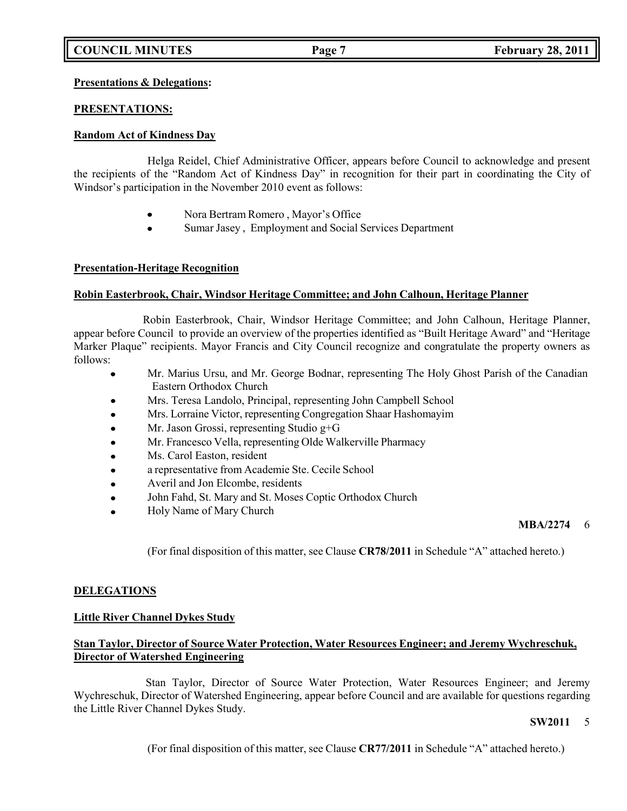# **Presentations & Delegations:**

# **PRESENTATIONS:**

# **Random Act of Kindness Day**

Helga Reidel, Chief Administrative Officer, appears before Council to acknowledge and present the recipients of the "Random Act of Kindness Day" in recognition for their part in coordinating the City of Windsor's participation in the November 2010 event as follows:

- Nora Bertram Romero , Mayor's Office
- Sumar Jasey , Employment and Social Services Department

# **Presentation-Heritage Recognition**

# **Robin Easterbrook, Chair, Windsor Heritage Committee; and John Calhoun, Heritage Planner**

Robin Easterbrook, Chair, Windsor Heritage Committee; and John Calhoun, Heritage Planner, appear before Council to provide an overview of the properties identified as "Built Heritage Award" and "Heritage Marker Plaque" recipients. Mayor Francis and City Council recognize and congratulate the property owners as follows:

- Mr. Marius Ursu, and Mr. George Bodnar, representing The Holy Ghost Parish of the Canadian Eastern Orthodox Church
- Mrs. Teresa Landolo, Principal, representing John Campbell School
- Mrs. Lorraine Victor, representing Congregation Shaar Hashomayim
- Mr. Jason Grossi, representing Studio g+G
- Mr. Francesco Vella, representing Olde Walkerville Pharmacy
- Ms. Carol Easton, resident
- a representative from Academie Ste. Cecile School
- Averil and Jon Elcombe, residents
- John Fahd, St. Mary and St. Moses Coptic Orthodox Church
- Holy Name of Mary Church

# **MBA/2274** 6

(For final disposition of this matter, see Clause **CR78/2011** in Schedule "A" attached hereto.)

# **DELEGATIONS**

# **Little River Channel Dykes Study**

# **Stan Taylor, Director of Source Water Protection, Water Resources Engineer; and Jeremy Wychreschuk, Director of Watershed Engineering**

Stan Taylor, Director of Source Water Protection, Water Resources Engineer; and Jeremy Wychreschuk, Director of Watershed Engineering, appear before Council and are available for questions regarding the Little River Channel Dykes Study.

### **SW2011** 5

(For final disposition of this matter, see Clause **CR77/2011** in Schedule "A" attached hereto.)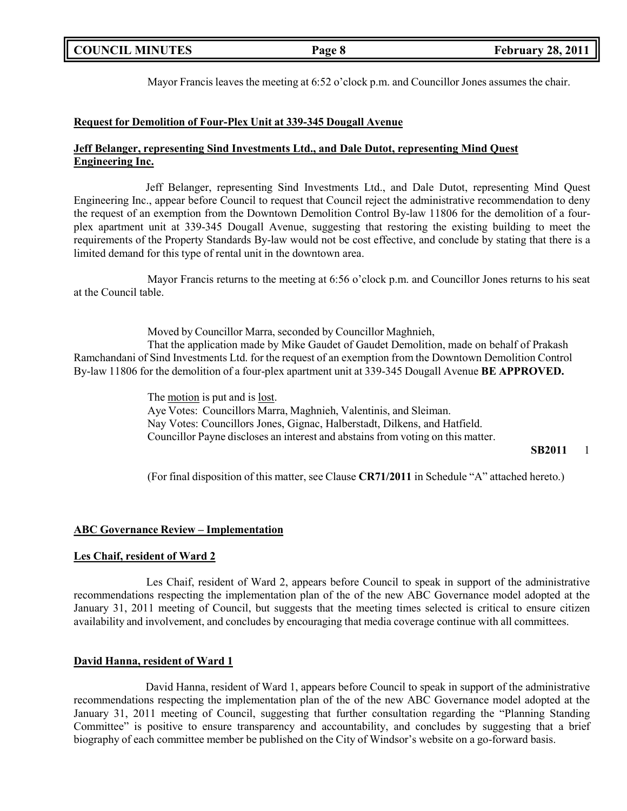|  | <b>COUNCIL MINUTES</b> |
|--|------------------------|
|--|------------------------|

Mayor Francis leaves the meeting at 6:52 o'clock p.m. and Councillor Jones assumes the chair.

### **Request for Demolition of Four-Plex Unit at 339-345 Dougall Avenue**

# **Jeff Belanger, representing Sind Investments Ltd., and Dale Dutot, representing Mind Quest Engineering Inc.**

Jeff Belanger, representing Sind Investments Ltd., and Dale Dutot, representing Mind Quest Engineering Inc., appear before Council to request that Council reject the administrative recommendation to deny the request of an exemption from the Downtown Demolition Control By-law 11806 for the demolition of a fourplex apartment unit at 339-345 Dougall Avenue, suggesting that restoring the existing building to meet the requirements of the Property Standards By-law would not be cost effective, and conclude by stating that there is a limited demand for this type of rental unit in the downtown area.

Mayor Francis returns to the meeting at 6:56 o'clock p.m. and Councillor Jones returns to his seat at the Council table.

Moved by Councillor Marra, seconded by Councillor Maghnieh, That the application made by Mike Gaudet of Gaudet Demolition, made on behalf of Prakash Ramchandani of Sind Investments Ltd. for the request of an exemption from the Downtown Demolition Control By-law 11806 for the demolition of a four-plex apartment unit at 339-345 Dougall Avenue **BE APPROVED.**

> The motion is put and is lost. Aye Votes: Councillors Marra, Maghnieh, Valentinis, and Sleiman. Nay Votes: Councillors Jones, Gignac, Halberstadt, Dilkens, and Hatfield. Councillor Payne discloses an interest and abstains from voting on this matter.

**SB2011** 1

(For final disposition of this matter, see Clause **CR71/2011** in Schedule "A" attached hereto.)

# **ABC Governance Review – Implementation**

# **Les Chaif, resident of Ward 2**

Les Chaif, resident of Ward 2, appears before Council to speak in support of the administrative recommendations respecting the implementation plan of the of the new ABC Governance model adopted at the January 31, 2011 meeting of Council, but suggests that the meeting times selected is critical to ensure citizen availability and involvement, and concludes by encouraging that media coverage continue with all committees.

# **David Hanna, resident of Ward 1**

David Hanna, resident of Ward 1, appears before Council to speak in support of the administrative recommendations respecting the implementation plan of the of the new ABC Governance model adopted at the January 31, 2011 meeting of Council, suggesting that further consultation regarding the "Planning Standing Committee" is positive to ensure transparency and accountability, and concludes by suggesting that a brief biography of each committee member be published on the City of Windsor's website on a go-forward basis.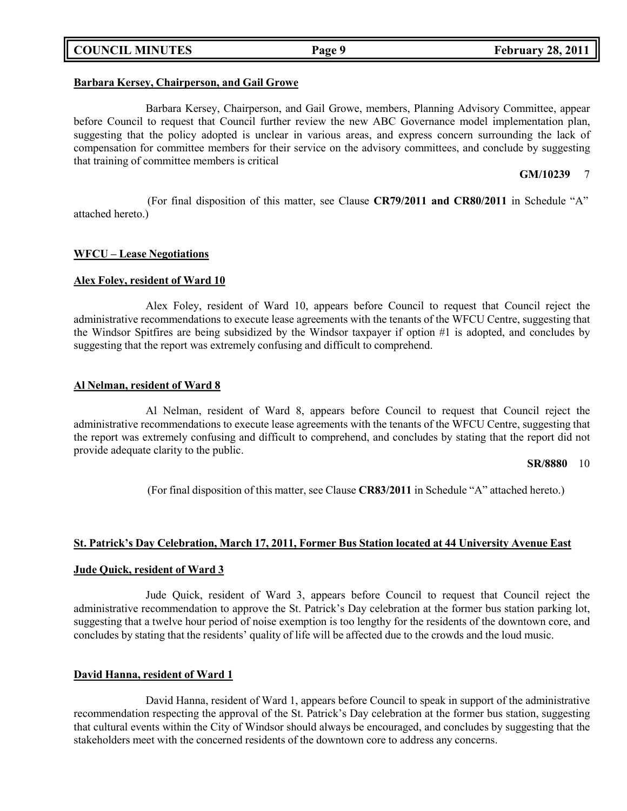# **COUNCIL MINUTES Page 9 February 28, 2011**

### **Barbara Kersey, Chairperson, and Gail Growe**

Barbara Kersey, Chairperson, and Gail Growe, members, Planning Advisory Committee, appear before Council to request that Council further review the new ABC Governance model implementation plan, suggesting that the policy adopted is unclear in various areas, and express concern surrounding the lack of compensation for committee members for their service on the advisory committees, and conclude by suggesting that training of committee members is critical

# **GM/10239** 7

(For final disposition of this matter, see Clause **CR79/2011 and CR80/2011** in Schedule "A" attached hereto.)

# **WFCU – Lease Negotiations**

### **Alex Foley, resident of Ward 10**

Alex Foley, resident of Ward 10, appears before Council to request that Council reject the administrative recommendations to execute lease agreements with the tenants of the WFCU Centre, suggesting that the Windsor Spitfires are being subsidized by the Windsor taxpayer if option #1 is adopted, and concludes by suggesting that the report was extremely confusing and difficult to comprehend.

### **Al Nelman, resident of Ward 8**

Al Nelman, resident of Ward 8, appears before Council to request that Council reject the administrative recommendations to execute lease agreements with the tenants of the WFCU Centre, suggesting that the report was extremely confusing and difficult to comprehend, and concludes by stating that the report did not provide adequate clarity to the public.

### **SR/8880** 10

(For final disposition of this matter, see Clause **CR83/2011** in Schedule "A" attached hereto.)

# **St. Patrick's Day Celebration, March 17, 2011, Former Bus Station located at 44 University Avenue East**

### **Jude Quick, resident of Ward 3**

Jude Quick, resident of Ward 3, appears before Council to request that Council reject the administrative recommendation to approve the St. Patrick's Day celebration at the former bus station parking lot, suggesting that a twelve hour period of noise exemption is too lengthy for the residents of the downtown core, and concludes by stating that the residents' quality of life will be affected due to the crowds and the loud music.

### **David Hanna, resident of Ward 1**

David Hanna, resident of Ward 1, appears before Council to speak in support of the administrative recommendation respecting the approval of the St. Patrick's Day celebration at the former bus station, suggesting that cultural events within the City of Windsor should always be encouraged, and concludes by suggesting that the stakeholders meet with the concerned residents of the downtown core to address any concerns.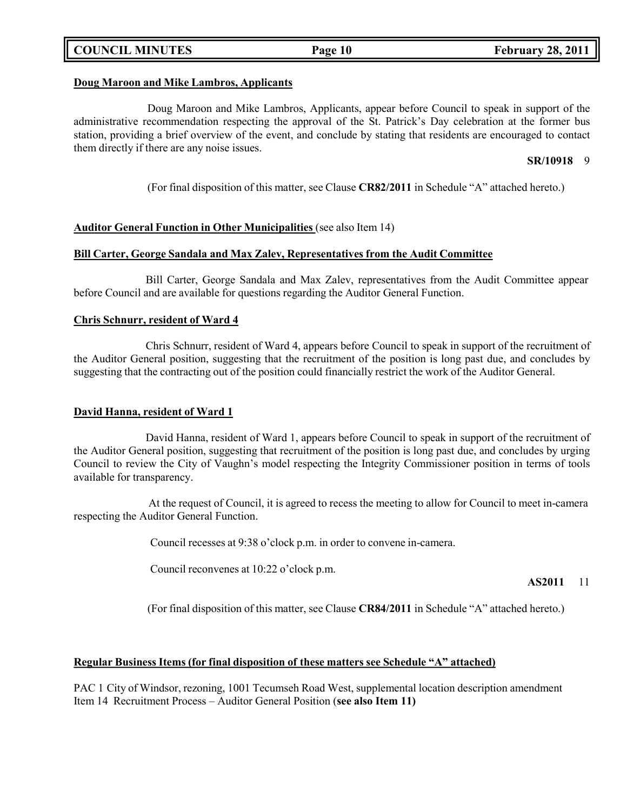# **COUNCIL MINUTES Page 10 February 28, 2011**

# **Doug Maroon and Mike Lambros, Applicants**

Doug Maroon and Mike Lambros, Applicants, appear before Council to speak in support of the administrative recommendation respecting the approval of the St. Patrick's Day celebration at the former bus station, providing a brief overview of the event, and conclude by stating that residents are encouraged to contact them directly if there are any noise issues.

### **SR/10918** 9

(For final disposition of this matter, see Clause **CR82/2011** in Schedule "A" attached hereto.)

# **Auditor General Function in Other Municipalities** (see also Item 14)

# **Bill Carter, George Sandala and Max Zalev, Representatives from the Audit Committee**

Bill Carter, George Sandala and Max Zalev, representatives from the Audit Committee appear before Council and are available for questions regarding the Auditor General Function.

# **Chris Schnurr, resident of Ward 4**

Chris Schnurr, resident of Ward 4, appears before Council to speak in support of the recruitment of the Auditor General position, suggesting that the recruitment of the position is long past due, and concludes by suggesting that the contracting out of the position could financially restrict the work of the Auditor General.

# **David Hanna, resident of Ward 1**

David Hanna, resident of Ward 1, appears before Council to speak in support of the recruitment of the Auditor General position, suggesting that recruitment of the position is long past due, and concludes by urging Council to review the City of Vaughn's model respecting the Integrity Commissioner position in terms of tools available for transparency.

At the request of Council, it is agreed to recess the meeting to allow for Council to meet in-camera respecting the Auditor General Function.

Council recesses at 9:38 o'clock p.m. in order to convene in-camera.

Council reconvenes at 10:22 o'clock p.m.

### **AS2011** 11

(For final disposition of this matter, see Clause **CR84/2011** in Schedule "A" attached hereto.)

# **Regular Business Items (for final disposition of these matters see Schedule "A" attached)**

PAC 1 City of Windsor, rezoning, 1001 Tecumseh Road West, supplemental location description amendment Item 14 Recruitment Process – Auditor General Position (**see also Item 11)**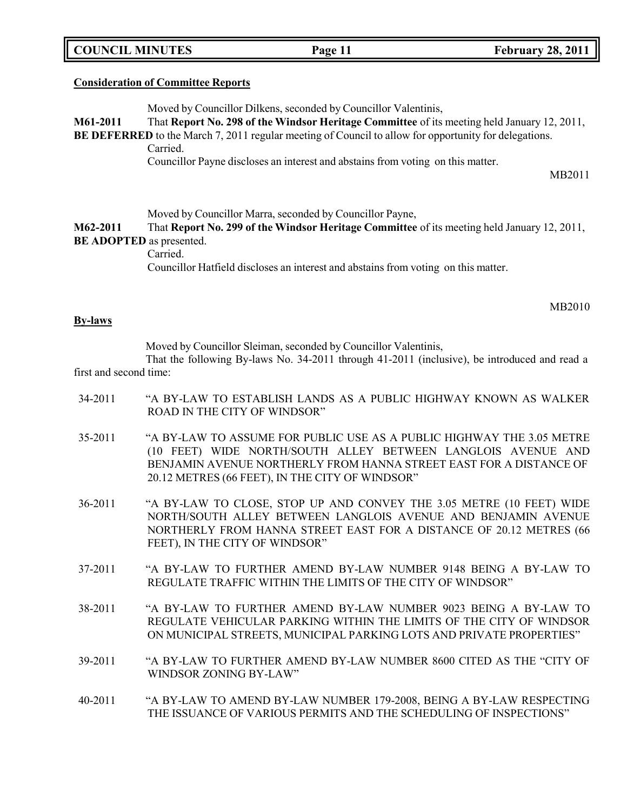**COUNCIL MINUTES Page 11 February 28, 2011**

### **Consideration of Committee Reports**

Moved by Councillor Dilkens, seconded by Councillor Valentinis,

**M61-2011** That **Report No. 298 of the Windsor Heritage Committee** of its meeting held January 12, 2011,

**BE DEFERRED** to the March 7, 2011 regular meeting of Council to allow for opportunity for delegations. Carried.

Councillor Payne discloses an interest and abstains from voting on this matter.

MB2011

Moved by Councillor Marra, seconded by Councillor Payne,

**M62-2011** That **Report No. 299 of the Windsor Heritage Committee** of its meeting held January 12, 2011, **BE ADOPTED** as presented.

Carried.

Councillor Hatfield discloses an interest and abstains from voting on this matter.

MB2010

#### **By-laws**

Moved by Councillor Sleiman, seconded by Councillor Valentinis,

That the following By-laws No. 34-2011 through 41-2011 (inclusive), be introduced and read a first and second time:

34-2011 "A BY-LAW TO ESTABLISH LANDS AS A PUBLIC HIGHWAY KNOWN AS WALKER ROAD IN THE CITY OF WINDSOR" 35-2011 "A BY-LAW TO ASSUME FOR PUBLIC USE AS A PUBLIC HIGHWAY THE 3.05 METRE (10 FEET) WIDE NORTH/SOUTH ALLEY BETWEEN LANGLOIS AVENUE AND BENJAMIN AVENUE NORTHERLY FROM HANNA STREET EAST FOR A DISTANCE OF 20.12 METRES (66 FEET), IN THE CITY OF WINDSOR" 36-2011 "A BY-LAW TO CLOSE, STOP UP AND CONVEY THE 3.05 METRE (10 FEET) WIDE NORTH/SOUTH ALLEY BETWEEN LANGLOIS AVENUE AND BENJAMIN AVENUE NORTHERLY FROM HANNA STREET EAST FOR A DISTANCE OF 20.12 METRES (66 FEET), IN THE CITY OF WINDSOR" 37-2011 "A BY-LAW TO FURTHER AMEND BY-LAW NUMBER 9148 BEING A BY-LAW TO REGULATE TRAFFIC WITHIN THE LIMITS OF THE CITY OF WINDSOR" 38-2011 "A BY-LAW TO FURTHER AMEND BY-LAW NUMBER 9023 BEING A BY-LAW TO REGULATE VEHICULAR PARKING WITHIN THE LIMITS OF THE CITY OF WINDSOR ON MUNICIPAL STREETS, MUNICIPAL PARKING LOTS AND PRIVATE PROPERTIES" 39-2011 "A BY-LAW TO FURTHER AMEND BY-LAW NUMBER 8600 CITED AS THE "CITY OF WINDSOR ZONING BY-LAW" 40-2011 "A BY-LAW TO AMEND BY-LAW NUMBER 179-2008, BEING A BY-LAW RESPECTING THE ISSUANCE OF VARIOUS PERMITS AND THE SCHEDULING OF INSPECTIONS"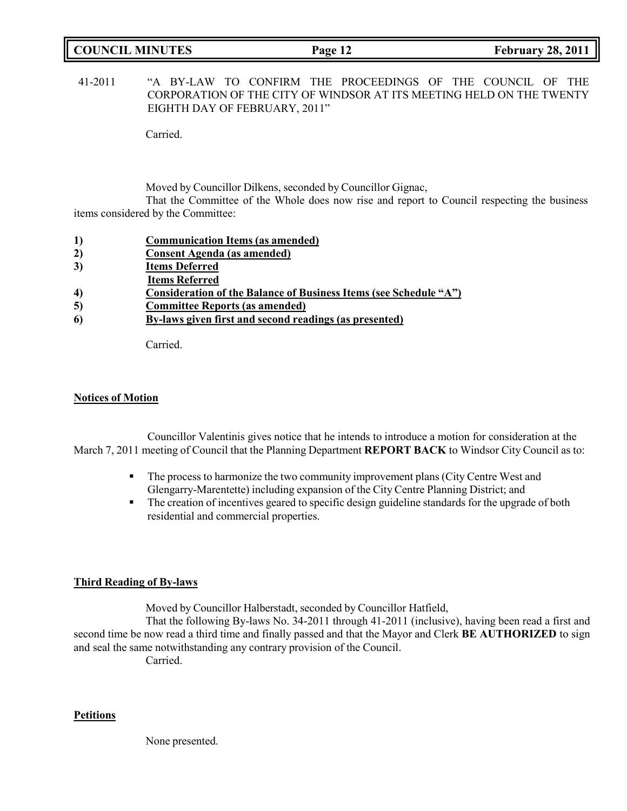| <b>COUNCIL MINUTES</b> | Page 12 | <b>February 28, 2011</b> |
|------------------------|---------|--------------------------|
|                        |         |                          |

41-2011 "A BY-LAW TO CONFIRM THE PROCEEDINGS OF THE COUNCIL OF THE CORPORATION OF THE CITY OF WINDSOR AT ITS MEETING HELD ON THE TWENTY EIGHTH DAY OF FEBRUARY, 2011"

Carried.

Moved by Councillor Dilkens, seconded by Councillor Gignac,

That the Committee of the Whole does now rise and report to Council respecting the business items considered by the Committee:

|  |  |  | <b>Communication Items (as amended)</b> |  |  |
|--|--|--|-----------------------------------------|--|--|
|--|--|--|-----------------------------------------|--|--|

- **2) Consent Agenda (as amended)**
- **3) Items Deferred**
- **Items Referred**
- **4) Consideration of the Balance of Business Items (see Schedule "A")**
- **5) Committee Reports (as amended)**
- **6) By-laws given first and second readings (as presented)**

Carried.

### **Notices of Motion**

Councillor Valentinis gives notice that he intends to introduce a motion for consideration at the March 7, 2011 meeting of Council that the Planning Department **REPORT BACK** to Windsor City Council as to:

- The process to harmonize the two community improvement plans (City Centre West and Glengarry-Marentette) including expansion of the City Centre Planning District; and
- **•** The creation of incentives geared to specific design guideline standards for the upgrade of both residential and commercial properties.

# **Third Reading of By-laws**

Moved by Councillor Halberstadt, seconded by Councillor Hatfield,

That the following By-laws No. 34-2011 through 41-2011 (inclusive), having been read a first and second time be now read a third time and finally passed and that the Mayor and Clerk **BE AUTHORIZED** to sign and seal the same notwithstanding any contrary provision of the Council.

Carried.

# **Petitions**

None presented.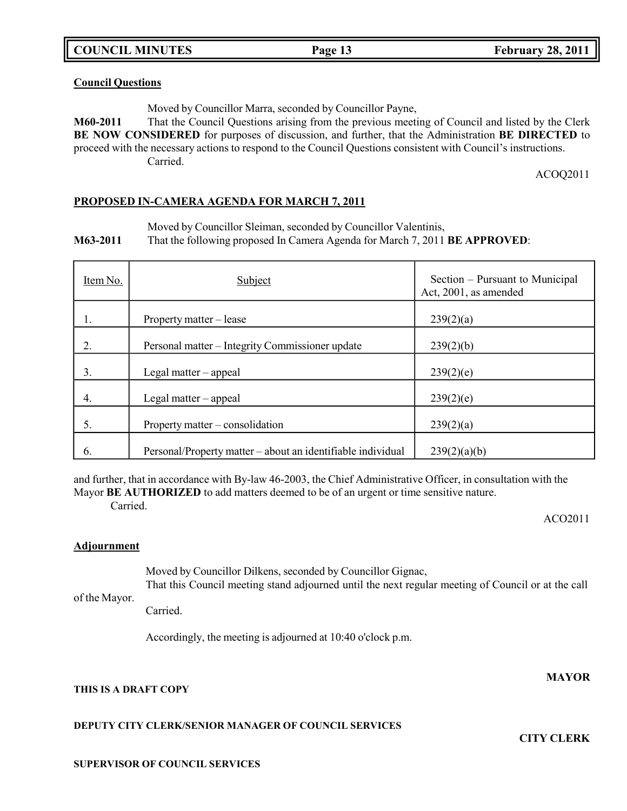### **Council Questions**

Moved by Councillor Marra, seconded by Councillor Payne,

**M60-2011** That the Council Questions arising from the previous meeting of Council and listed by the Clerk **BE NOW CONSIDERED** for purposes of discussion, and further, that the Administration **BE DIRECTED** to proceed with the necessary actions to respond to the Council Questions consistent with Council's instructions. Carried.

ACOQ2011

### **PROPOSED IN-CAMERA AGENDA FOR MARCH 7, 2011**

Moved by Councillor Sleiman, seconded by Councillor Valentinis,

**M63-2011** That the following proposed In Camera Agenda for March 7, 2011 **BE APPROVED**:

| Item No. | Subject                                                     | Section – Pursuant to Municipal<br>Act, 2001, as amended |
|----------|-------------------------------------------------------------|----------------------------------------------------------|
| ı.       | Property matter – lease                                     | 239(2)(a)                                                |
| 2.       | Personal matter - Integrity Commissioner update             | 239(2)(b)                                                |
| 3.       | Legal matter – appeal                                       | 239(2)(e)                                                |
| 4.       | Legal matter - appeal                                       | 239(2)(e)                                                |
| 5.       | Property matter – consolidation                             | 239(2)(a)                                                |
| 6.       | Personal/Property matter – about an identifiable individual | 239(2)(a)(b)                                             |

and further, that in accordance with By-law 46-2003, the Chief Administrative Officer, in consultation with the Mayor **BE AUTHORIZED** to add matters deemed to be of an urgent or time sensitive nature.

Carried.

ACO2011

# **Adjournment**

Moved by Councillor Dilkens, seconded by Councillor Gignac, That this Council meeting stand adjourned until the next regular meeting of Council or at the call

of the Mayor.

Carried.

Accordingly, the meeting is adjourned at 10:40 o'clock p.m.

# **THIS IS A DRAFT COPY**

# **DEPUTY CITY CLERK/SENIOR MANAGER OF COUNCIL SERVICES**

**MAYOR**

**CITY CLERK**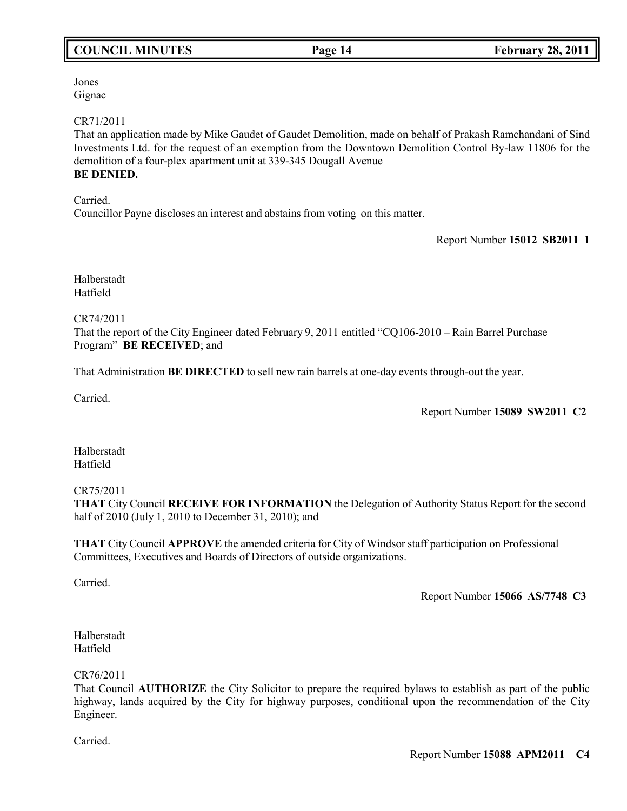# **COUNCIL MINUTES Page 14 February 28, 2011**

Jones Gignac

# CR71/2011

That an application made by Mike Gaudet of Gaudet Demolition, made on behalf of Prakash Ramchandani of Sind Investments Ltd. for the request of an exemption from the Downtown Demolition Control By-law 11806 for the demolition of a four-plex apartment unit at 339-345 Dougall Avenue **BE DENIED.**

Carried. Councillor Payne discloses an interest and abstains from voting on this matter.

Report Number **15012 SB2011 1**

Halberstadt Hatfield

CR74/2011

That the report of the City Engineer dated February 9, 2011 entitled "CQ106-2010 – Rain Barrel Purchase Program" **BE RECEIVED**; and

That Administration **BE DIRECTED** to sell new rain barrels at one-day events through-out the year.

Carried.

Report Number **15089 SW2011 C2**

Halberstadt Hatfield

# CR75/2011

**THAT** City Council **RECEIVE FOR INFORMATION** the Delegation of Authority Status Report for the second half of 2010 (July 1, 2010 to December 31, 2010); and

**THAT** City Council **APPROVE** the amended criteria for City of Windsor staff participation on Professional Committees, Executives and Boards of Directors of outside organizations.

Carried.

Report Number **15066 AS/7748 C3**

Halberstadt Hatfield

# CR76/2011

That Council **AUTHORIZE** the City Solicitor to prepare the required bylaws to establish as part of the public highway, lands acquired by the City for highway purposes, conditional upon the recommendation of the City Engineer.

Carried.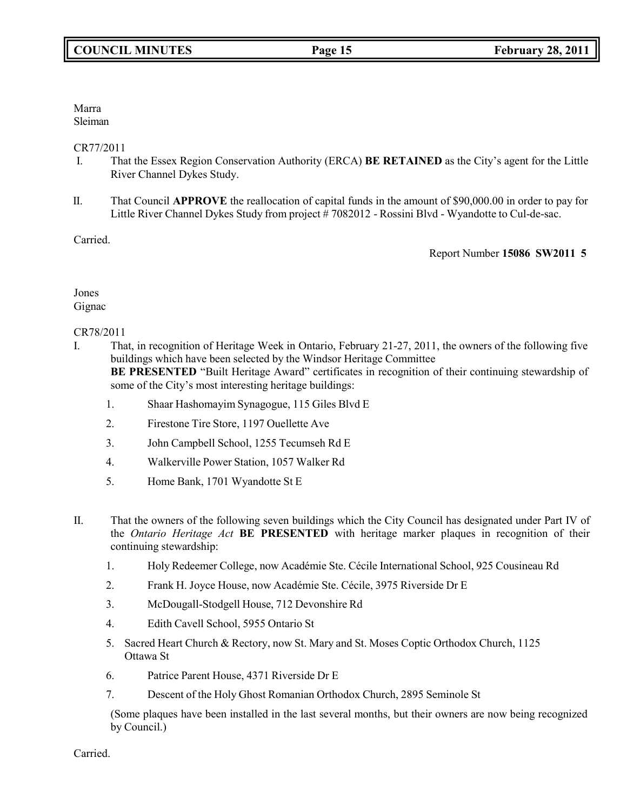Marra Sleiman

CR77/2011

- I. That the Essex Region Conservation Authority (ERCA) **BE RETAINED** as the City's agent for the Little River Channel Dykes Study.
- II. That Council **APPROVE** the reallocation of capital funds in the amount of \$90,000.00 in order to pay for Little River Channel Dykes Study from project # 7082012 - Rossini Blvd - Wyandotte to Cul-de-sac.

Carried.

Report Number **15086 SW2011 5**

# Jones Gignac

# CR78/2011

- I. That, in recognition of Heritage Week in Ontario, February 21-27, 2011, the owners of the following five buildings which have been selected by the Windsor Heritage Committee **BE PRESENTED** "Built Heritage Award" certificates in recognition of their continuing stewardship of some of the City's most interesting heritage buildings:
	- 1. Shaar Hashomayim Synagogue, 115 Giles Blvd E
	- 2. Firestone Tire Store, 1197 Ouellette Ave
	- 3. John Campbell School, 1255 Tecumseh Rd E
	- 4. Walkerville Power Station, 1057 Walker Rd
	- 5. Home Bank, 1701 Wyandotte St E
- II. That the owners of the following seven buildings which the City Council has designated under Part IV of the *Ontario Heritage Act* **BE PRESENTED** with heritage marker plaques in recognition of their continuing stewardship:
	- 1. Holy Redeemer College, now Académie Ste. Cécile International School, 925 Cousineau Rd
	- 2. Frank H. Joyce House, now Académie Ste. Cécile, 3975 Riverside Dr E
	- 3. McDougall-Stodgell House, 712 Devonshire Rd
	- 4. Edith Cavell School, 5955 Ontario St
	- 5. Sacred Heart Church & Rectory, now St. Mary and St. Moses Coptic Orthodox Church, 1125 Ottawa St
	- 6. Patrice Parent House, 4371 Riverside Dr E
	- 7. Descent of the Holy Ghost Romanian Orthodox Church, 2895 Seminole St

(Some plaques have been installed in the last several months, but their owners are now being recognized by Council.)

Carried.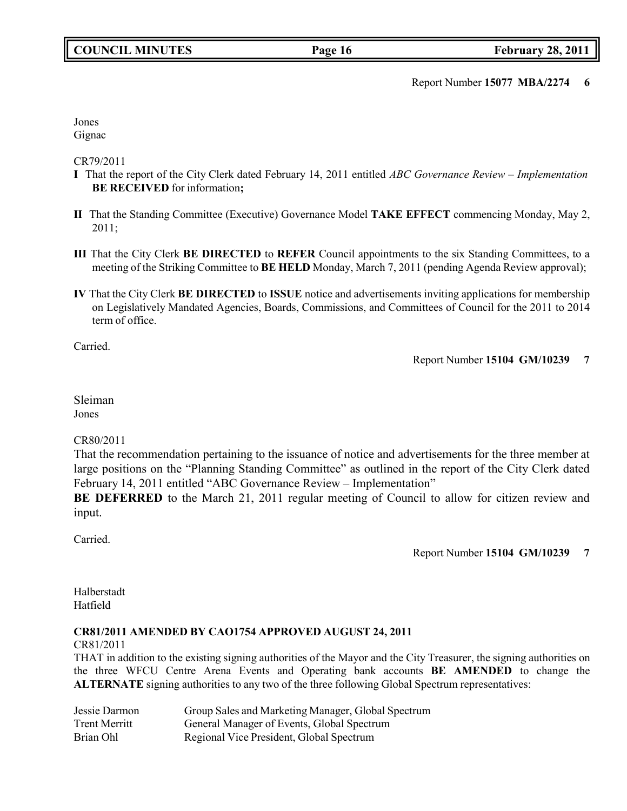Report Number **15077 MBA/2274 6**

Jones Gignac

CR79/2011

- **I** That the report of the City Clerk dated February 14, 2011 entitled *ABC Governance Review Implementation* **BE RECEIVED** for information**;**
- **II** That the Standing Committee (Executive) Governance Model **TAKE EFFECT** commencing Monday, May 2, 2011;
- **III** That the City Clerk **BE DIRECTED** to **REFER** Council appointments to the six Standing Committees, to a meeting of the Striking Committee to **BE HELD** Monday, March 7, 2011 (pending Agenda Review approval);
- **IV** That the City Clerk **BE DIRECTED** to **ISSUE** notice and advertisements inviting applications for membership on Legislatively Mandated Agencies, Boards, Commissions, and Committees of Council for the 2011 to 2014 term of office.

Carried.

Report Number **15104 GM/10239 7**

Sleiman Jones

# CR80/2011

That the recommendation pertaining to the issuance of notice and advertisements for the three member at large positions on the "Planning Standing Committee" as outlined in the report of the City Clerk dated February 14, 2011 entitled "ABC Governance Review – Implementation"

**BE DEFERRED** to the March 21, 2011 regular meeting of Council to allow for citizen review and input.

Carried.

Report Number **15104 GM/10239 7**

Halberstadt Hatfield

# **CR81/2011 AMENDED BY CAO1754 APPROVED AUGUST 24, 2011**

CR81/2011

THAT in addition to the existing signing authorities of the Mayor and the City Treasurer, the signing authorities on the three WFCU Centre Arena Events and Operating bank accounts **BE AMENDED** to change the **ALTERNATE** signing authorities to any two of the three following Global Spectrum representatives:

| Jessie Darmon        | Group Sales and Marketing Manager, Global Spectrum |
|----------------------|----------------------------------------------------|
| <b>Trent Merritt</b> | General Manager of Events, Global Spectrum         |
| Brian Ohl            | Regional Vice President, Global Spectrum           |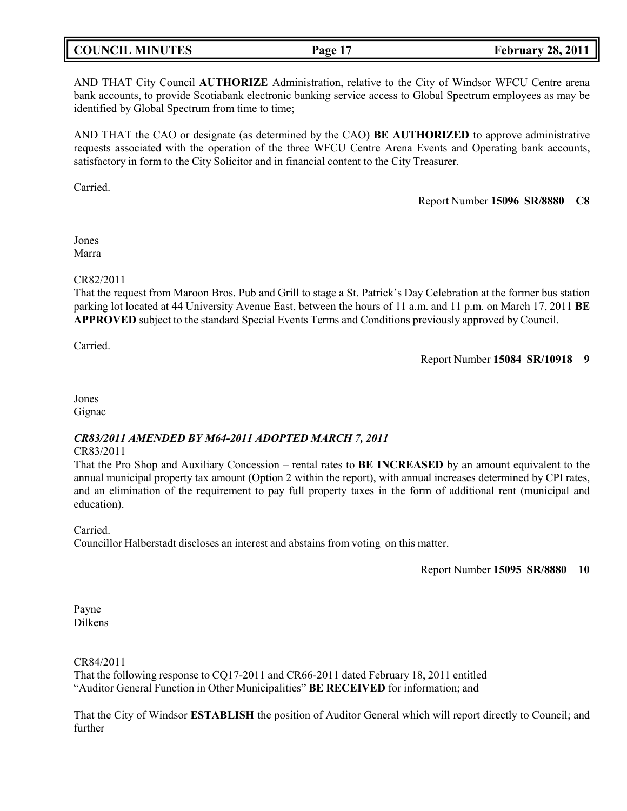| <b>COUNCIL MINUTES</b><br>Page 17 | <b>February 28, 2011</b> |
|-----------------------------------|--------------------------|
|-----------------------------------|--------------------------|

AND THAT City Council **AUTHORIZE** Administration, relative to the City of Windsor WFCU Centre arena bank accounts, to provide Scotiabank electronic banking service access to Global Spectrum employees as may be identified by Global Spectrum from time to time;

AND THAT the CAO or designate (as determined by the CAO) **BE AUTHORIZED** to approve administrative requests associated with the operation of the three WFCU Centre Arena Events and Operating bank accounts, satisfactory in form to the City Solicitor and in financial content to the City Treasurer.

Carried.

Report Number **15096 SR/8880 C8**

Jones Marra

### CR82/2011

That the request from Maroon Bros. Pub and Grill to stage a St. Patrick's Day Celebration at the former bus station parking lot located at 44 University Avenue East, between the hours of 11 a.m. and 11 p.m. on March 17, 2011 **BE APPROVED** subject to the standard Special Events Terms and Conditions previously approved by Council.

Carried.

Report Number **15084 SR/10918 9**

Jones Gignac

# *CR83/2011 AMENDED BY M64-2011 ADOPTED MARCH 7, 2011*

### CR83/2011

That the Pro Shop and Auxiliary Concession – rental rates to **BE INCREASED** by an amount equivalent to the annual municipal property tax amount (Option 2 within the report), with annual increases determined by CPI rates, and an elimination of the requirement to pay full property taxes in the form of additional rent (municipal and education).

Carried.

Councillor Halberstadt discloses an interest and abstains from voting on this matter.

Report Number **15095 SR/8880 10**

Payne Dilkens

CR84/2011

That the following response to CQ17-2011 and CR66-2011 dated February 18, 2011 entitled "Auditor General Function in Other Municipalities" **BE RECEIVED** for information; and

That the City of Windsor **ESTABLISH** the position of Auditor General which will report directly to Council; and further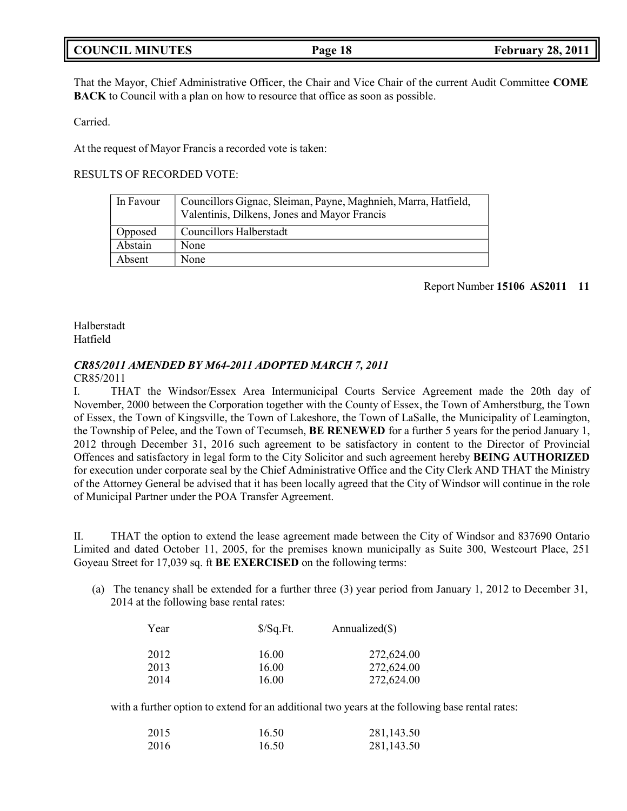| <b>COUNCIL MINUTES</b> |  |  |
|------------------------|--|--|
|------------------------|--|--|

That the Mayor, Chief Administrative Officer, the Chair and Vice Chair of the current Audit Committee **COME BACK** to Council with a plan on how to resource that office as soon as possible.

Carried.

At the request of Mayor Francis a recorded vote is taken:

RESULTS OF RECORDED VOTE:

| In Favour | Councillors Gignac, Sleiman, Payne, Maghnieh, Marra, Hatfield, |
|-----------|----------------------------------------------------------------|
|           | Valentinis, Dilkens, Jones and Mayor Francis                   |
| Opposed   | <b>Councillors Halberstadt</b>                                 |
| Abstain   | None                                                           |
| Absent    | None                                                           |

### Report Number **15106 AS2011 11**

Halberstadt Hatfield

### *CR85/2011 AMENDED BY M64-2011 ADOPTED MARCH 7, 2011* CR85/2011

I. THAT the Windsor/Essex Area Intermunicipal Courts Service Agreement made the 20th day of November, 2000 between the Corporation together with the County of Essex, the Town of Amherstburg, the Town of Essex, the Town of Kingsville, the Town of Lakeshore, the Town of LaSalle, the Municipality of Leamington, the Township of Pelee, and the Town of Tecumseh, **BE RENEWED** for a further 5 years for the period January 1, 2012 through December 31, 2016 such agreement to be satisfactory in content to the Director of Provincial Offences and satisfactory in legal form to the City Solicitor and such agreement hereby **BEING AUTHORIZED** for execution under corporate seal by the Chief Administrative Office and the City Clerk AND THAT the Ministry of the Attorney General be advised that it has been locally agreed that the City of Windsor will continue in the role of Municipal Partner under the POA Transfer Agreement.

II. THAT the option to extend the lease agreement made between the City of Windsor and 837690 Ontario Limited and dated October 11, 2005, for the premises known municipally as Suite 300, Westcourt Place, 251 Goyeau Street for 17,039 sq. ft **BE EXERCISED** on the following terms:

(a) The tenancy shall be extended for a further three (3) year period from January 1, 2012 to December 31, 2014 at the following base rental rates:

| Year | $\sqrt{$}$ /Sq.Ft. | Annualized $(\$)$ |
|------|--------------------|-------------------|
| 2012 | 16.00              | 272,624.00        |
| 2013 | 16.00              | 272,624.00        |
| 2014 | 16.00              | 272,624.00        |

with a further option to extend for an additional two years at the following base rental rates:

| 2015 | 16.50 | 281,143.50 |
|------|-------|------------|
| 2016 | 16.50 | 281,143.50 |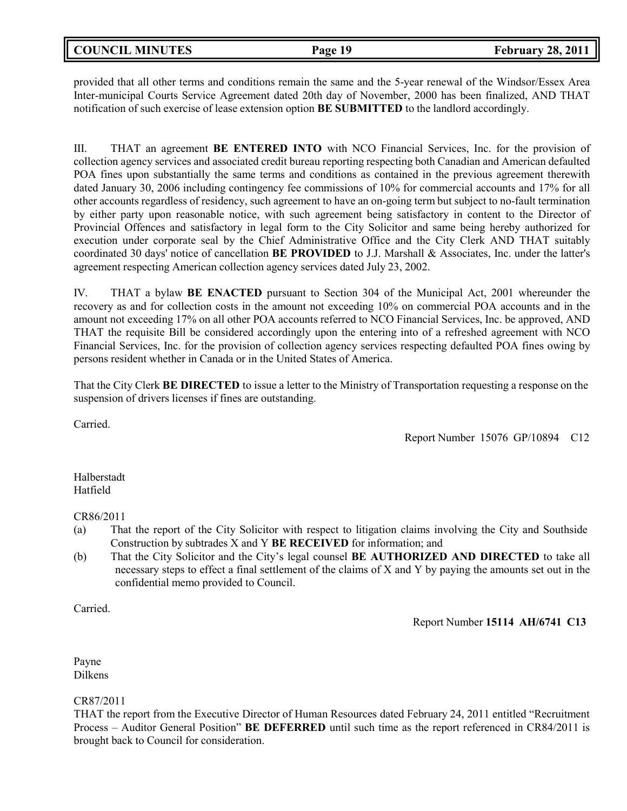provided that all other terms and conditions remain the same and the 5-year renewal of the Windsor/Essex Area Inter-municipal Courts Service Agreement dated 20th day of November, 2000 has been finalized, AND THAT notification of such exercise of lease extension option **BE SUBMITTED** to the landlord accordingly.

III. THAT an agreement **BE ENTERED INTO** with NCO Financial Services, Inc. for the provision of collection agency services and associated credit bureau reporting respecting both Canadian and American defaulted POA fines upon substantially the same terms and conditions as contained in the previous agreement therewith dated January 30, 2006 including contingency fee commissions of 10% for commercial accounts and 17% for all other accounts regardless of residency, such agreement to have an on-going term but subject to no-fault termination by either party upon reasonable notice, with such agreement being satisfactory in content to the Director of Provincial Offences and satisfactory in legal form to the City Solicitor and same being hereby authorized for execution under corporate seal by the Chief Administrative Office and the City Clerk AND THAT suitably coordinated 30 days' notice of cancellation **BE PROVIDED** to J.J. Marshall & Associates, Inc. under the latter's agreement respecting American collection agency services dated July 23, 2002.

IV. THAT a bylaw **BE ENACTED** pursuant to Section 304 of the Municipal Act, 2001 whereunder the recovery as and for collection costs in the amount not exceeding 10% on commercial POA accounts and in the amount not exceeding 17% on all other POA accounts referred to NCO Financial Services, Inc. be approved, AND THAT the requisite Bill be considered accordingly upon the entering into of a refreshed agreement with NCO Financial Services, Inc. for the provision of collection agency services respecting defaulted POA fines owing by persons resident whether in Canada or in the United States of America.

That the City Clerk **BE DIRECTED** to issue a letter to the Ministry of Transportation requesting a response on the suspension of drivers licenses if fines are outstanding.

Carried.

Report Number 15076 GP/10894 C12

Halberstadt Hatfield

CR86/2011

- (a) That the report of the City Solicitor with respect to litigation claims involving the City and Southside Construction by subtrades X and Y **BE RECEIVED** for information; and
- (b) That the City Solicitor and the City's legal counsel **BE AUTHORIZED AND DIRECTED** to take all necessary steps to effect a final settlement of the claims of X and Y by paying the amounts set out in the confidential memo provided to Council.

Carried.

Report Number **15114 AH/6741 C13**

Payne Dilkens

CR87/2011

THAT the report from the Executive Director of Human Resources dated February 24, 2011 entitled "Recruitment Process – Auditor General Position" **BE DEFERRED** until such time as the report referenced in CR84/2011 is brought back to Council for consideration.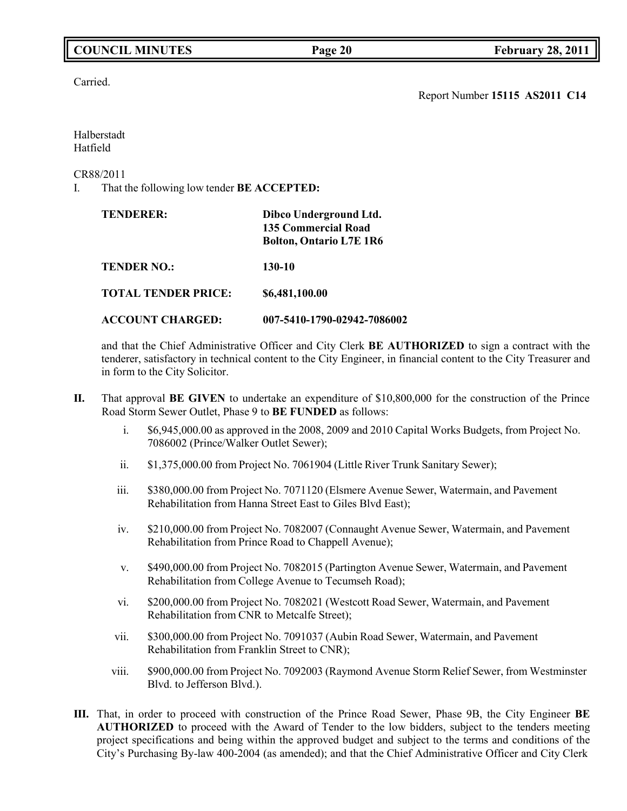# **COUNCIL MINUTES Page 20 February 28, 2011**

Carried.

Report Number **15115 AS2011 C14**

Halberstadt Hatfield

CR88/2011

I. That the following low tender **BE ACCEPTED:**

| <b>TENDERER:</b>           | Dibco Underground Ltd.<br><b>135 Commercial Road</b><br><b>Bolton, Ontario L7E 1R6</b> |
|----------------------------|----------------------------------------------------------------------------------------|
| <b>TENDER NO.:</b>         | 130-10                                                                                 |
| <b>TOTAL TENDER PRICE:</b> | \$6,481,100.00                                                                         |
| <b>ACCOUNT CHARGED:</b>    | 007-5410-1790-02942-7086002                                                            |

and that the Chief Administrative Officer and City Clerk **BE AUTHORIZED** to sign a contract with the tenderer, satisfactory in technical content to the City Engineer, in financial content to the City Treasurer and in form to the City Solicitor.

- **II.** That approval **BE GIVEN** to undertake an expenditure of \$10,800,000 for the construction of the Prince Road Storm Sewer Outlet, Phase 9 to **BE FUNDED** as follows:
	- i. \$6,945,000.00 as approved in the 2008, 2009 and 2010 Capital Works Budgets, from Project No. 7086002 (Prince/Walker Outlet Sewer);
	- ii. \$1,375,000.00 from Project No. 7061904 (Little River Trunk Sanitary Sewer);
	- iii. \$380,000.00 from Project No. 7071120 (Elsmere Avenue Sewer, Watermain, and Pavement Rehabilitation from Hanna Street East to Giles Blvd East);
	- iv. \$210,000.00 from Project No. 7082007 (Connaught Avenue Sewer, Watermain, and Pavement Rehabilitation from Prince Road to Chappell Avenue);
	- v. \$490,000.00 from Project No. 7082015 (Partington Avenue Sewer, Watermain, and Pavement Rehabilitation from College Avenue to Tecumseh Road);
	- vi. \$200,000.00 from Project No. 7082021 (Westcott Road Sewer, Watermain, and Pavement Rehabilitation from CNR to Metcalfe Street);
	- vii. \$300,000.00 from Project No. 7091037 (Aubin Road Sewer, Watermain, and Pavement Rehabilitation from Franklin Street to CNR);
	- viii. \$900,000.00 from Project No. 7092003 (Raymond Avenue Storm Relief Sewer, from Westminster Blvd. to Jefferson Blvd.).
- **III.** That, in order to proceed with construction of the Prince Road Sewer, Phase 9B, the City Engineer **BE AUTHORIZED** to proceed with the Award of Tender to the low bidders, subject to the tenders meeting project specifications and being within the approved budget and subject to the terms and conditions of the City's Purchasing By-law 400-2004 (as amended); and that the Chief Administrative Officer and City Clerk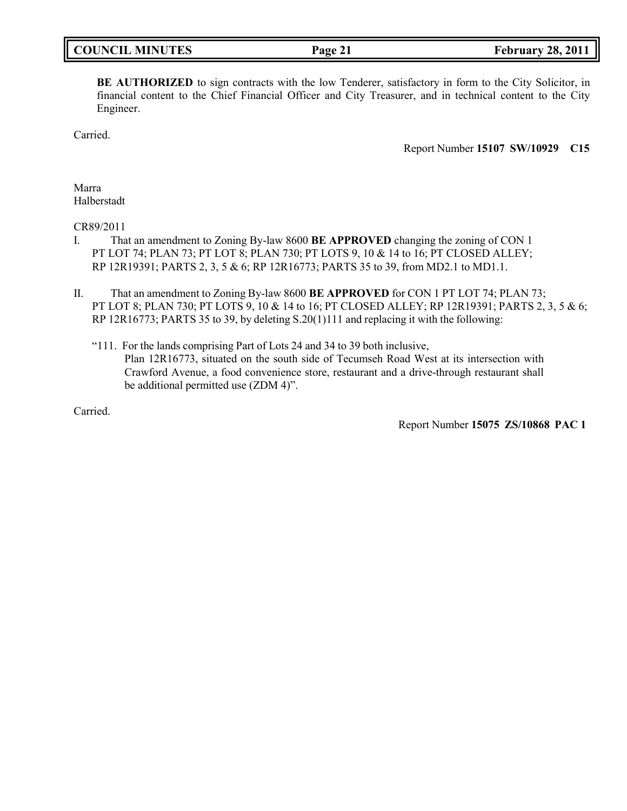| <b>COUNCIL MINUTES</b> |  |
|------------------------|--|
|------------------------|--|

**BE AUTHORIZED** to sign contracts with the low Tenderer, satisfactory in form to the City Solicitor, in financial content to the Chief Financial Officer and City Treasurer, and in technical content to the City Engineer.

Carried.

Report Number **15107 SW/10929 C15**

Marra Halberstadt

CR89/2011

- I. That an amendment to Zoning By-law 8600 **BE APPROVED** changing the zoning of CON 1 PT LOT 74; PLAN 73; PT LOT 8; PLAN 730; PT LOTS 9, 10 & 14 to 16; PT CLOSED ALLEY; RP 12R19391; PARTS 2, 3, 5 & 6; RP 12R16773; PARTS 35 to 39, from MD2.1 to MD1.1.
- II. That an amendment to Zoning By-law 8600 **BE APPROVED** for CON 1 PT LOT 74; PLAN 73; PT LOT 8; PLAN 730; PT LOTS 9, 10 & 14 to 16; PT CLOSED ALLEY; RP 12R19391; PARTS 2, 3, 5 & 6; RP 12R16773; PARTS 35 to 39, by deleting S.20(1)111 and replacing it with the following:
	- "111. For the lands comprising Part of Lots 24 and 34 to 39 both inclusive, Plan 12R16773, situated on the south side of Tecumseh Road West at its intersection with Crawford Avenue, a food convenience store, restaurant and a drive-through restaurant shall be additional permitted use (ZDM 4)".

Carried.

Report Number **15075 ZS/10868 PAC 1**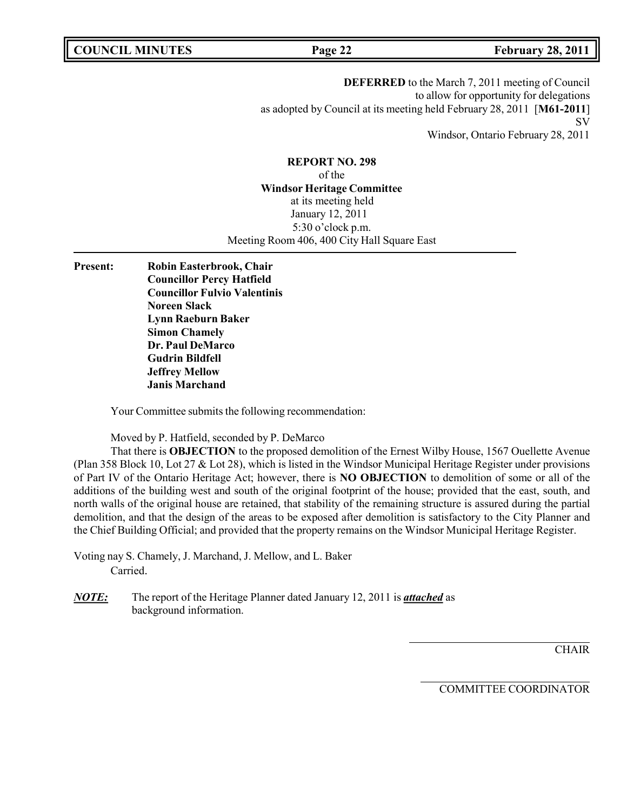**COUNCIL MINUTES Page 22 February 28, 2011**

**DEFERRED** to the March 7, 2011 meeting of Council to allow for opportunity for delegations as adopted by Council at its meeting held February 28, 2011 [**M61-2011**] SV Windsor, Ontario February 28, 2011

**REPORT NO. 298** of the **Windsor Heritage Committee** at its meeting held January 12, 2011 5:30 o'clock p.m. Meeting Room 406, 400 City Hall Square East

**Present: Robin Easterbrook, Chair Councillor Percy Hatfield Councillor Fulvio Valentinis Noreen Slack Lynn Raeburn Baker Simon Chamely Dr. Paul DeMarco Gudrin Bildfell Jeffrey Mellow Janis Marchand**

Your Committee submits the following recommendation:

Moved by P. Hatfield, seconded by P. DeMarco

That there is **OBJECTION** to the proposed demolition of the Ernest Wilby House, 1567 Ouellette Avenue (Plan 358 Block 10, Lot 27 & Lot 28), which is listed in the Windsor Municipal Heritage Register under provisions of Part IV of the Ontario Heritage Act; however, there is **NO OBJECTION** to demolition of some or all of the additions of the building west and south of the original footprint of the house; provided that the east, south, and north walls of the original house are retained, that stability of the remaining structure is assured during the partial demolition, and that the design of the areas to be exposed after demolition is satisfactory to the City Planner and the Chief Building Official; and provided that the property remains on the Windsor Municipal Heritage Register.

Voting nay S. Chamely, J. Marchand, J. Mellow, and L. Baker Carried.

*NOTE:* The report of the Heritage Planner dated January 12, 2011 is *attached* as background information.

**CHAIR** 

COMMITTEE COORDINATOR